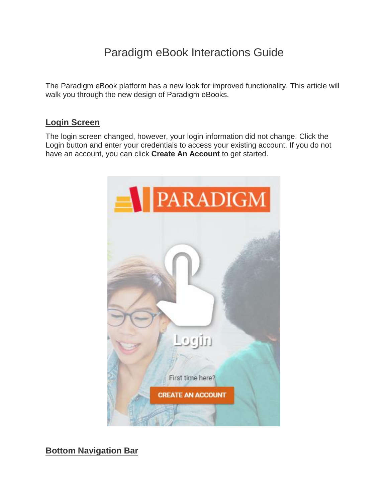# Paradigm eBook Interactions Guide

The Paradigm eBook platform has a new look for improved functionality. This article will walk you through the new design of Paradigm eBooks.

# **Login Screen**

The login screen changed, however, your login information did not change. Click the Login button and enter your credentials to access your existing account. If you do not have an account, you can click **Create An Account** to get started.



**Bottom Navigation Bar**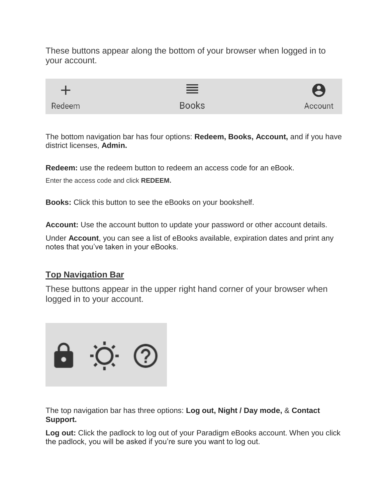These buttons appear along the bottom of your browser when logged in to your account.



The bottom navigation bar has four options: **Redeem, Books, Account,** and if you have district licenses, **Admin.**

**Redeem:** use the redeem button to redeem an access code for an eBook.

Enter the access code and click **REDEEM.**

**Books:** Click this button to see the eBooks on your bookshelf.

**Account:** Use the account button to update your password or other account details.

Under **Account**, you can see a list of eBooks available, expiration dates and print any notes that you've taken in your eBooks.

# **Top Navigation Bar**

These buttons appear in the upper right hand corner of your browser when logged in to your account.



The top navigation bar has three options: **Log out, Night / Day mode,** & **Contact Support.**

**Log out:** Click the padlock to log out of your Paradigm eBooks account. When you click the padlock, you will be asked if you're sure you want to log out.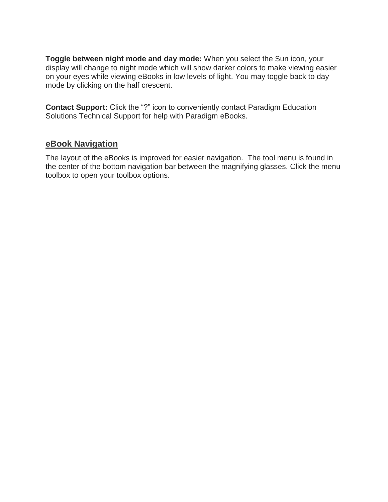**Toggle between night mode and day mode:** When you select the Sun icon, your display will change to night mode which will show darker colors to make viewing easier on your eyes while viewing eBooks in low levels of light. You may toggle back to day mode by clicking on the half crescent.

**Contact Support:** Click the "?" icon to conveniently contact Paradigm Education Solutions Technical Support for help with Paradigm eBooks.

# **eBook Navigation**

The layout of the eBooks is improved for easier navigation. The tool menu is found in the center of the bottom navigation bar between the magnifying glasses. Click the menu toolbox to open your toolbox options.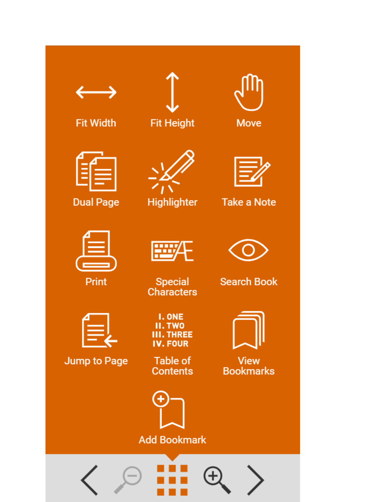

**Fit Width** 



**Fit Height** 



**Dual Page** 



Highlighter



Move

**Take a Note** 



Print



**Jump to Page** 



**Special Characters** 

I. ONE<br>II. TWO<br>III. THREE

**IV. FOUR** 

**Table of** 

**Contents** 

**Search Book** 



**View Bookmarks** 



**Add Bookmark**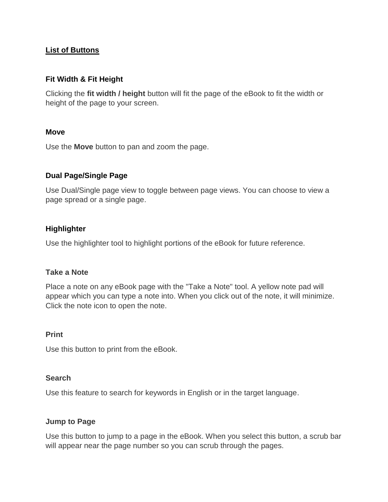## **List of Buttons**

#### **Fit Width & Fit Height**

Clicking the **fit width / height** button will fit the page of the eBook to fit the width or height of the page to your screen.

#### **Move**

Use the **Move** button to pan and zoom the page.

#### **Dual Page/Single Page**

Use Dual/Single page view to toggle between page views. You can choose to view a page spread or a single page.

#### **Highlighter**

Use the highlighter tool to highlight portions of the eBook for future reference.

#### **Take a Note**

Place a note on any eBook page with the "Take a Note" tool. A yellow note pad will appear which you can type a note into. When you click out of the note, it will minimize. Click the note icon to open the note.

#### **Print**

Use this button to print from the eBook.

#### **Search**

Use this feature to search for keywords in English or in the target language.

## **Jump to Page**

Use this button to jump to a page in the eBook. When you select this button, a scrub bar will appear near the page number so you can scrub through the pages.